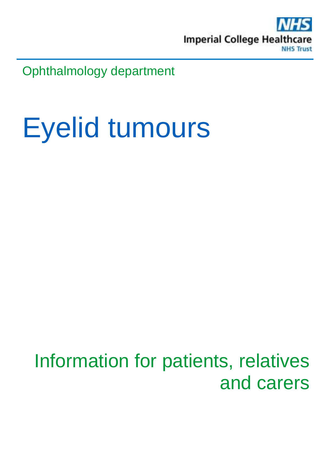

Ophthalmology department

# Eyelid tumours

### Information for patients, relatives and carers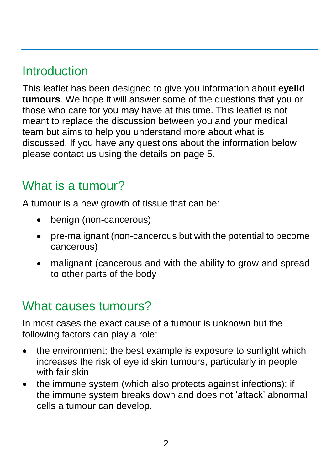#### **Introduction**

This leaflet has been designed to give you information about **eyelid tumours**. We hope it will answer some of the questions that you or those who care for you may have at this time. This leaflet is not meant to replace the discussion between you and your medical team but aims to help you understand more about what is discussed. If you have any questions about the information below please contact us using the details on page 5.

#### What is a tumour?

A tumour is a new growth of tissue that can be:

- benign (non-cancerous)
- pre-malignant (non-cancerous but with the potential to become cancerous)
- malignant (cancerous and with the ability to grow and spread to other parts of the body

#### What causes tumours?

In most cases the exact cause of a tumour is unknown but the following factors can play a role:

- the environment; the best example is exposure to sunlight which increases the risk of eyelid skin tumours, particularly in people with fair skin
- the immune system (which also protects against infections); if the immune system breaks down and does not 'attack' abnormal cells a tumour can develop.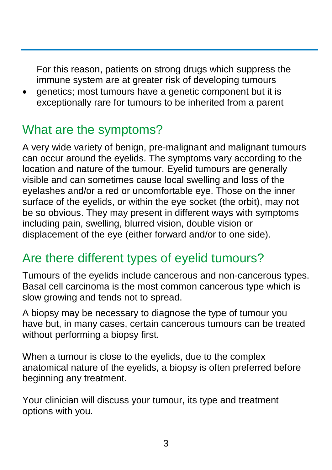For this reason, patients on strong drugs which suppress the immune system are at greater risk of developing tumours

 genetics; most tumours have a genetic component but it is exceptionally rare for tumours to be inherited from a parent

#### What are the symptoms?

A very wide variety of benign, pre-malignant and malignant tumours can occur around the eyelids. The symptoms vary according to the location and nature of the tumour. Eyelid tumours are generally visible and can sometimes cause local swelling and loss of the eyelashes and/or a red or uncomfortable eye. Those on the inner surface of the eyelids, or within the eye socket (the orbit), may not be so obvious. They may present in different ways with symptoms including pain, swelling, blurred vision, double vision or displacement of the eye (either forward and/or to one side).

#### Are there different types of eyelid tumours?

Tumours of the eyelids include cancerous and non-cancerous types. Basal cell carcinoma is the most common cancerous type which is slow growing and tends not to spread.

A biopsy may be necessary to diagnose the type of tumour you have but, in many cases, certain cancerous tumours can be treated without performing a biopsy first.

When a tumour is close to the eyelids, due to the complex anatomical nature of the eyelids, a biopsy is often preferred before beginning any treatment.

Your clinician will discuss your tumour, its type and treatment options with you.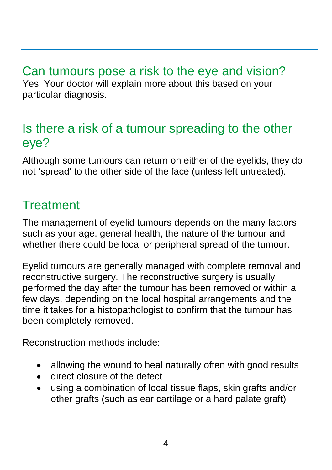Can tumours pose a risk to the eye and vision? Yes. Your doctor will explain more about this based on your particular diagnosis.

#### Is there a risk of a tumour spreading to the other eye?

Although some tumours can return on either of the eyelids, they do not 'spread' to the other side of the face (unless left untreated).

#### **Treatment**

The management of eyelid tumours depends on the many factors such as your age, general health, the nature of the tumour and whether there could be local or peripheral spread of the tumour.

Eyelid tumours are generally managed with complete removal and reconstructive surgery. The reconstructive surgery is usually performed the day after the tumour has been removed or within a few days, depending on the local hospital arrangements and the time it takes for a histopathologist to confirm that the tumour has been completely removed.

Reconstruction methods include:

- allowing the wound to heal naturally often with good results
- direct closure of the defect
- using a combination of local tissue flaps, skin grafts and/or other grafts (such as ear cartilage or a hard palate graft)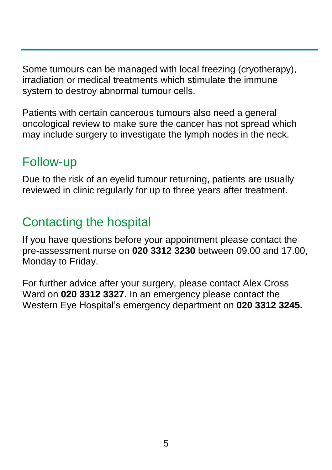Some tumours can be managed with local freezing (cryotherapy), irradiation or medical treatments which stimulate the immune system to destroy abnormal tumour cells.

Patients with certain cancerous tumours also need a general oncological review to make sure the cancer has not spread which may include surgery to investigate the lymph nodes in the neck.

#### Follow-up

Due to the risk of an eyelid tumour returning, patients are usually reviewed in clinic regularly for up to three years after treatment.

#### Contacting the hospital

If you have questions before your appointment please contact the pre-assessment nurse on **020 3312 3230** between 09.00 and 17.00, Monday to Friday.

For further advice after your surgery, please contact Alex Cross Ward on **020 3312 3327.** In an emergency please contact the Western Eye Hospital's emergency department on **020 3312 3245.**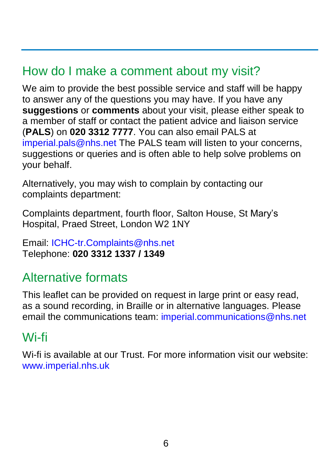#### How do I make a comment about my visit?

We aim to provide the best possible service and staff will be happy to answer any of the questions you may have. If you have any **suggestions** or **comments** about your visit, please either speak to a member of staff or contact the patient advice and liaison service (**PALS**) on **020 3312 7777**. You can also email PALS at [imperial.pals@nhs.net](mailto:imperial.pals@nhs.net) The PALS team will listen to your concerns, suggestions or queries and is often able to help solve problems on your behalf.

Alternatively, you may wish to complain by contacting our complaints department:

Complaints department, fourth floor, Salton House, St Mary's Hospital, Praed Street, London W2 1NY

Email: [ICHC-tr.Complaints@nhs.net](mailto:ICHC-tr.Complaints@nhs.net) Telephone: **020 3312 1337 / 1349** 

#### Alternative formats

This leaflet can be provided on request in large print or easy read, as a sound recording, in Braille or in alternative languages. Please email the communications team: [imperial.communications@nhs.net](mailto:imperial.communications@nhs.net)

#### Wi-fi

Wi-fi is available at our Trust. For more information visit our website: [www.imperial.nhs.uk](http://www.imperial.nhs.uk/)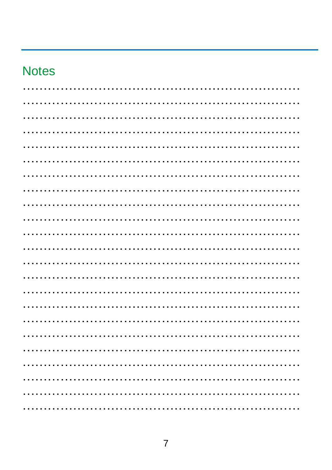#### **Notes**